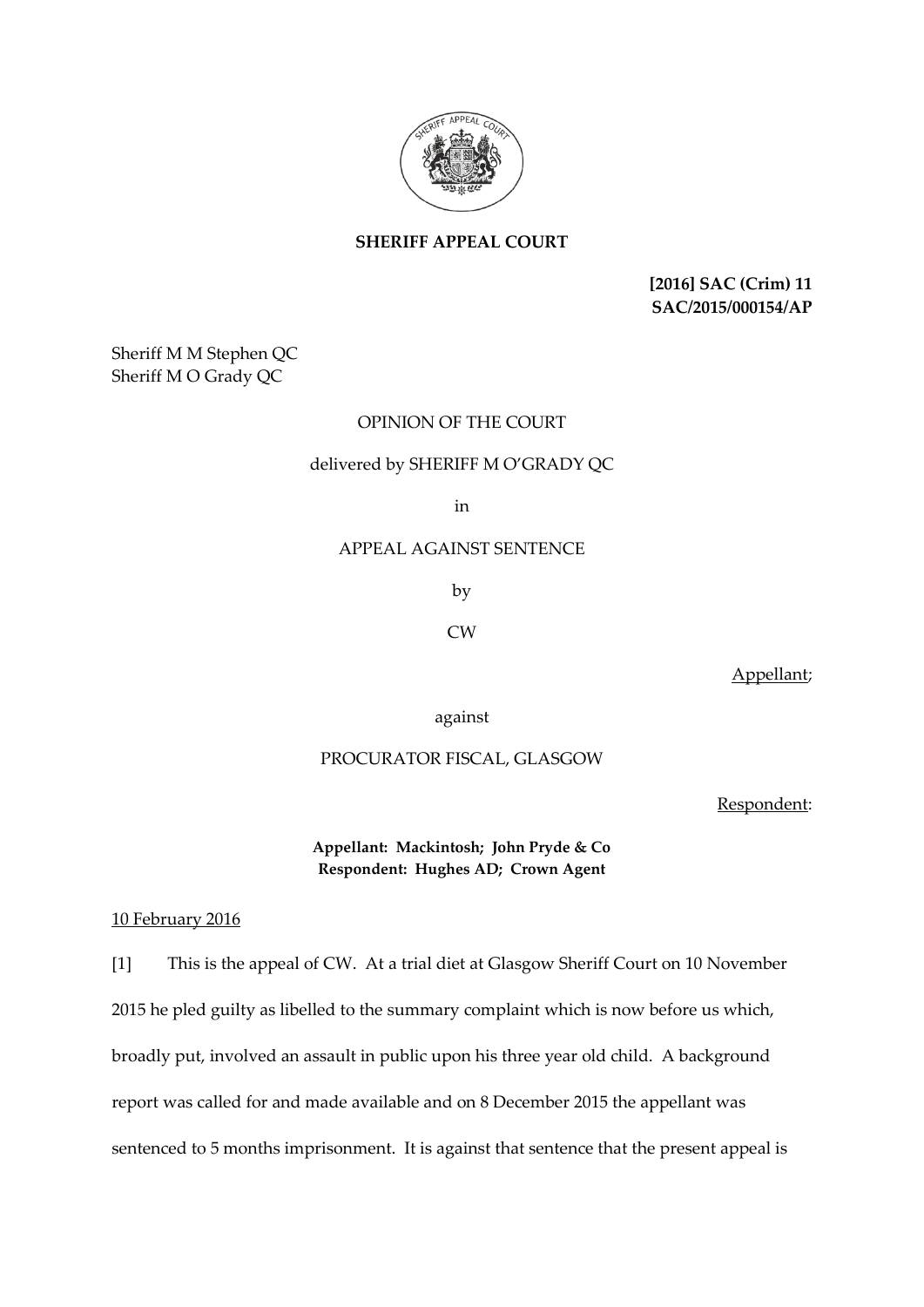

**SHERIFF APPEAL COURT**

**[2016] SAC (Crim) 11 SAC/2015/000154/AP**

Sheriff M M Stephen QC Sheriff M O Grady QC

# OPINION OF THE COURT

### delivered by SHERIFF M O'GRADY QC

in

## APPEAL AGAINST SENTENCE

by

### CW

Appellant;

against

## PROCURATOR FISCAL, GLASGOW

Respondent:

**Appellant: Mackintosh; John Pryde & Co Respondent: Hughes AD; Crown Agent**

#### 10 February 2016

[1] This is the appeal of CW. At a trial diet at Glasgow Sheriff Court on 10 November 2015 he pled guilty as libelled to the summary complaint which is now before us which, broadly put, involved an assault in public upon his three year old child. A background report was called for and made available and on 8 December 2015 the appellant was sentenced to 5 months imprisonment. It is against that sentence that the present appeal is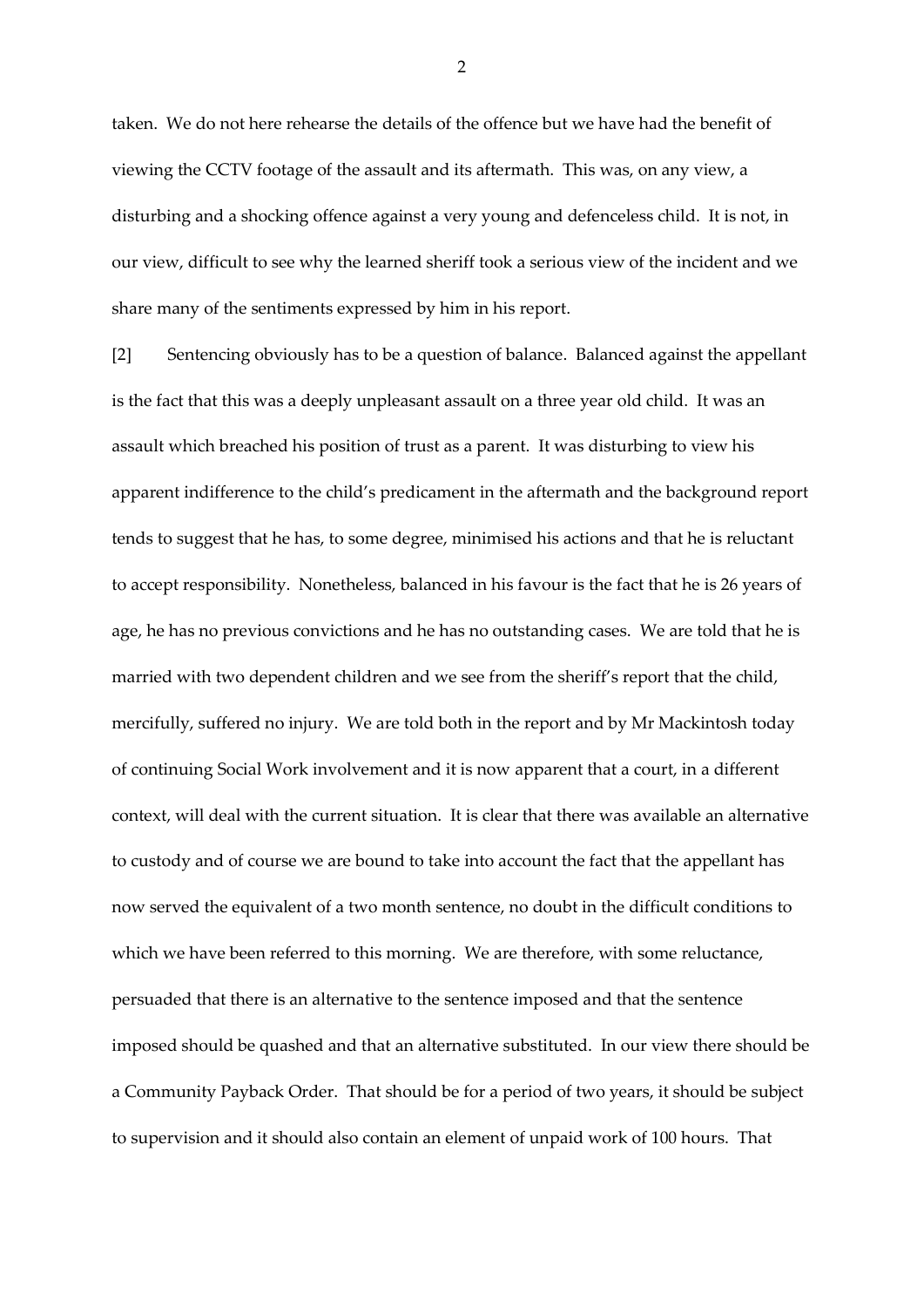taken. We do not here rehearse the details of the offence but we have had the benefit of viewing the CCTV footage of the assault and its aftermath. This was, on any view, a disturbing and a shocking offence against a very young and defenceless child. It is not, in our view, difficult to see why the learned sheriff took a serious view of the incident and we share many of the sentiments expressed by him in his report.

[2] Sentencing obviously has to be a question of balance. Balanced against the appellant is the fact that this was a deeply unpleasant assault on a three year old child. It was an assault which breached his position of trust as a parent. It was disturbing to view his apparent indifference to the child's predicament in the aftermath and the background report tends to suggest that he has, to some degree, minimised his actions and that he is reluctant to accept responsibility. Nonetheless, balanced in his favour is the fact that he is 26 years of age, he has no previous convictions and he has no outstanding cases. We are told that he is married with two dependent children and we see from the sheriff's report that the child, mercifully, suffered no injury. We are told both in the report and by Mr Mackintosh today of continuing Social Work involvement and it is now apparent that a court, in a different context, will deal with the current situation. It is clear that there was available an alternative to custody and of course we are bound to take into account the fact that the appellant has now served the equivalent of a two month sentence, no doubt in the difficult conditions to which we have been referred to this morning. We are therefore, with some reluctance, persuaded that there is an alternative to the sentence imposed and that the sentence imposed should be quashed and that an alternative substituted. In our view there should be a Community Payback Order. That should be for a period of two years, it should be subject to supervision and it should also contain an element of unpaid work of 100 hours. That

2